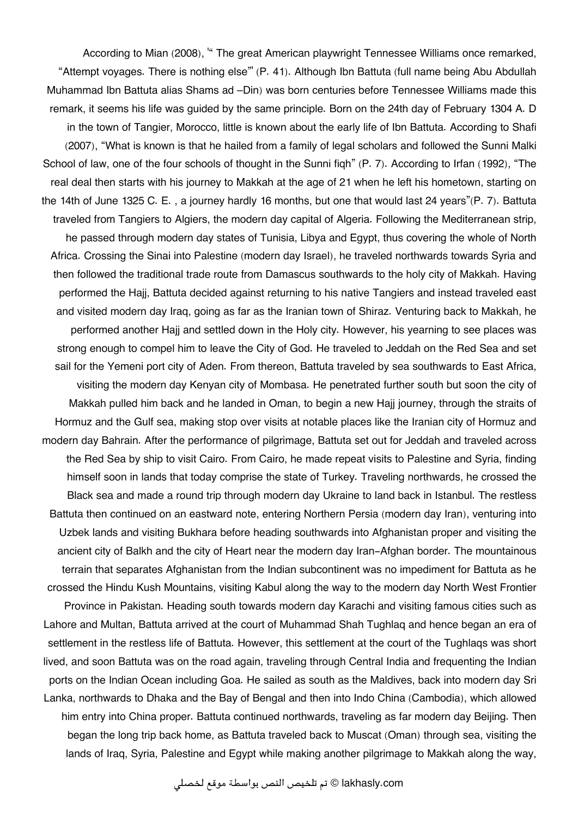According to Mian (2008), " The great American playwright Tennessee Williams once remarked, "Attempt voyages. There is nothing else"' (P. 41). Although Ibn Battuta (full name being Abu Abdullah Muhammad Ibn Battuta alias Shams ad –Din) was born centuries before Tennessee Williams made this remark, it seems his life was guided by the same principle. Born on the 24th day of February 1304 A. D in the town of Tangier, Morocco, little is known about the early life of Ibn Battuta. According to Shafi (2007), "What is known is that he hailed from a family of legal scholars and followed the Sunni Malki School of law, one of the four schools of thought in the Sunni figh" (P. 7). According to Irfan (1992), "The real deal then starts with his journey to Makkah at the age of 21 when he left his hometown, starting on the 14th of June 1325 C. E. , a journey hardly 16 months, but one that would last 24 years"(P. 7). Battuta traveled from Tangiers to Algiers, the modern day capital of Algeria. Following the Mediterranean strip, he passed through modern day states of Tunisia, Libya and Egypt, thus covering the whole of North Africa. Crossing the Sinai into Palestine (modern day Israel), he traveled northwards towards Syria and then followed the traditional trade route from Damascus southwards to the holy city of Makkah. Having performed the Hajj, Battuta decided against returning to his native Tangiers and instead traveled east and visited modern day Iraq, going as far as the Iranian town of Shiraz. Venturing back to Makkah, he performed another Hajj and settled down in the Holy city. However, his yearning to see places was strong enough to compel him to leave the City of God. He traveled to Jeddah on the Red Sea and set sail for the Yemeni port city of Aden. From thereon, Battuta traveled by sea southwards to East Africa, visiting the modern day Kenyan city of Mombasa. He penetrated further south but soon the city of Makkah pulled him back and he landed in Oman, to begin a new Hajj journey, through the straits of Hormuz and the Gulf sea, making stop over visits at notable places like the Iranian city of Hormuz and modern day Bahrain. After the performance of pilgrimage, Battuta set out for Jeddah and traveled across the Red Sea by ship to visit Cairo. From Cairo, he made repeat visits to Palestine and Syria, finding himself soon in lands that today comprise the state of Turkey. Traveling northwards, he crossed the Black sea and made a round trip through modern day Ukraine to land back in Istanbul. The restless Battuta then continued on an eastward note, entering Northern Persia (modern day Iran), venturing into Uzbek lands and visiting Bukhara before heading southwards into Afghanistan proper and visiting the ancient city of Balkh and the city of Heart near the modern day Iran-Afghan border. The mountainous terrain that separates Afghanistan from the Indian subcontinent was no impediment for Battuta as he crossed the Hindu Kush Mountains, visiting Kabul along the way to the modern day North West Frontier Province in Pakistan. Heading south towards modern day Karachi and visiting famous cities such as Lahore and Multan, Battuta arrived at the court of Muhammad Shah Tughlaq and hence began an era of settlement in the restless life of Battuta. However, this settlement at the court of the Tughlaqs was short lived, and soon Battuta was on the road again, traveling through Central India and frequenting the Indian ports on the Indian Ocean including Goa. He sailed as south as the Maldives, back into modern day Sri Lanka, northwards to Dhaka and the Bay of Bengal and then into Indo China (Cambodia), which allowed him entry into China proper. Battuta continued northwards, traveling as far modern day Beijing. Then began the long trip back home, as Battuta traveled back to Muscat (Oman) through sea, visiting the lands of Iraq, Syria, Palestine and Egypt while making another pilgrimage to Makkah along the way,